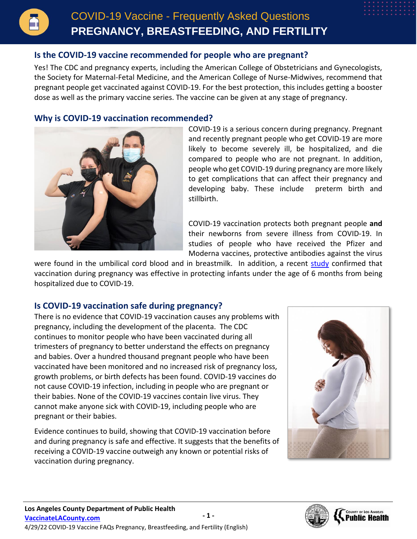### **Is the COVID-19 vaccine recommended for people who are pregnant?**

Yes! The CDC and pregnancy experts, including the American College of Obstetricians and Gynecologists, the Society for Maternal-Fetal Medicine, and the American College of Nurse-Midwives, recommend that pregnant people get vaccinated against COVID-19. For the best protection, this includes getting a booster dose as well as the primary vaccine series. The vaccine can be given at any stage of pregnancy.

#### **Why is COVID-19 vaccination recommended?**



COVID-19 is a serious concern during pregnancy. Pregnant and recently pregnant people who get COVID-19 are more likely to become severely ill, be hospitalized, and die compared to people who are not pregnant. In addition, people who get COVID-19 during pregnancy are more likely to get complications that can affect their pregnancy and developing baby. These include preterm birth and stillbirth.

COVID-19 vaccination protects both pregnant people **and** their newborns from severe illness from COVID-19. In studies of people who have received the Pfizer and Moderna vaccines, protective antibodies against the virus

were found in the umbilical cord blood and in breastmilk. In addition, a recent [study](https://www.cdc.gov/mmwr/volumes/71/wr/mm7107e3.htm) confirmed that vaccination during pregnancy was effective in protecting infants under the age of 6 months from being hospitalized due to COVID-19.

# **Is COVID-19 vaccination safe during pregnancy?**

There is no evidence that COVID-19 vaccination causes any problems with pregnancy, including the development of the placenta. The CDC continues to monitor people who have been vaccinated during all trimesters of pregnancy to better understand the effects on pregnancy and babies. Over a hundred thousand pregnant people who have been vaccinated have been monitored and no increased risk of pregnancy loss, growth problems, or birth defects has been found. COVID-19 vaccines do not cause COVID-19 infection, including in people who are pregnant or their babies. None of the COVID-19 vaccines contain live virus. They cannot make anyone sick with COVID-19, including people who are pregnant or their babies.

Evidence continues to build, showing that COVID-19 vaccination before and during pregnancy is safe and effective. It suggests that the benefits of receiving a COVID-19 vaccine outweigh any known or potential risks of vaccination during pregnancy.



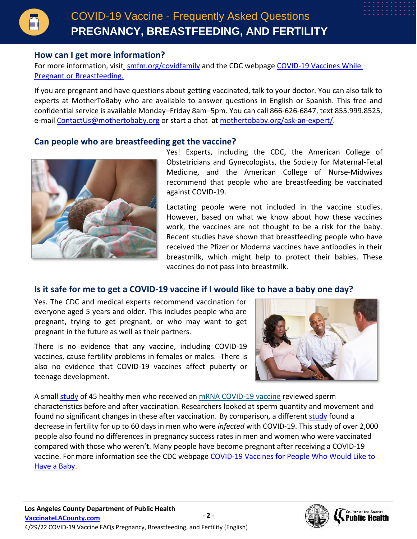

### **How can I get more information?**

For more information, visit\_[smfm.org/covidfamily](https://www.smfm.org/covidfamily) and the CDC webpage COVID-19 Vaccines While [Pregnant or Breastfeeding.](https://www.cdc.gov/coronavirus/2019-ncov/vaccines/recommendations/pregnancy.html)

If you are pregnant and have questions about getting vaccinated, talk to your doctor. You can also talk to experts at MotherToBaby who are available to answer questions in English or Spanish. This free and confidential service is available Monday–Friday 8am–5pm. You can call 866-626-6847, text 855.999.8525, e-mail [ContactUs@mothertobaby.org](mailto:ContactUs@mothertobaby.org) or start a chat at [mothertobaby.org/ask-an-expert/.](https://mothertobaby.org/ask-an-expert/)

#### **Can people who are breastfeeding get the vaccine?**



Yes! Experts, including the CDC, the American College of Obstetricians and Gynecologists, the Society for Maternal-Fetal Medicine, and the American College of Nurse-Midwives recommend that people who are breastfeeding be vaccinated against COVID-19.

Lactating people were not included in the vaccine studies. However, based on what we know about how these vaccines work, the vaccines are not thought to be a risk for the baby. Recent studies have shown that breastfeeding people who have received the Pfizer or Moderna vaccines have antibodies in their breastmilk, which might help to protect their babies. These vaccines do not pass into breastmilk.

# **Is it safe for me to get a COVID-19 vaccine if I would like to have a baby one day?**

Yes. The CDC and medical experts recommend vaccination for everyone aged 5 years and older. This includes people who are pregnant, trying to get pregnant, or who may want to get pregnant in the future as well as their partners.

There is no evidence that any vaccine, including COVID-19 vaccines, cause fertility problems in females or males. There is also no evidence that COVID-19 vaccines affect puberty or teenage development.



A small [study](https://jamanetwork.com/journals/jama/fullarticle/2781360) of 45 healthy men who received an [mRNA COVID-19 vaccine](https://www.cdc.gov/coronavirus/2019-ncov/vaccines/different-vaccines/mrna.html) reviewed sperm characteristics before and after vaccination. Researchers looked at sperm quantity and movement and found no significant changes in these after vaccination. By comparison, a different [study](https://academic.oup.com/aje/advance-article/doi/10.1093/aje/kwac011/6511811?login=true) found a decrease in fertility for up to 60 days in men who were *infected* with COVID-19. This study of over 2,000 people also found no differences in pregnancy success rates in men and women who were vaccinated compared with those who weren't. Many people have become pregnant after receiving a COVID-19 vaccine. For more information see the CDC webpage [COVID-19 Vaccines for People Who Would Like to](https://www.cdc.gov/coronavirus/2019-ncov/vaccines/planning-for-pregnancy.html)  [Have a Baby.](https://www.cdc.gov/coronavirus/2019-ncov/vaccines/planning-for-pregnancy.html)